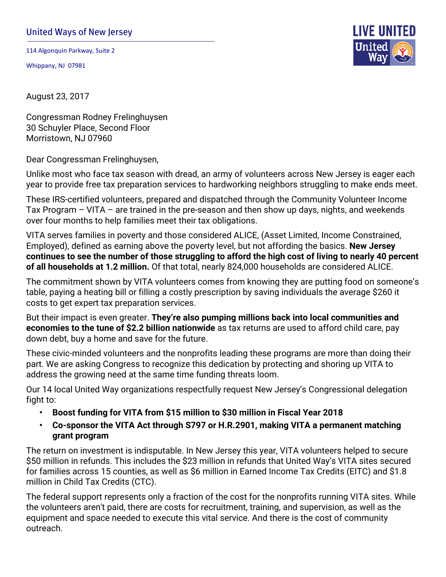## United Ways of New Jersey

114 Algonquin Parkway, Suite 2

Whippany, NJ 07981



August 23, 2017

Congressman Rodney Frelinghuysen 30 Schuyler Place, Second Floor Morristown, NJ 07960

Dear Congressman Frelinghuysen,

Unlike most who face tax season with dread, an army of volunteers across New Jersey is eager each year to provide free tax preparation services to hardworking neighbors struggling to make ends meet.

These IRS-certified volunteers, prepared and dispatched through the Community Volunteer Income Tax Program – VITA – are trained in the pre-season and then show up days, nights, and weekends over four months to help families meet their tax obligations.

VITA serves families in poverty and those considered ALICE, (Asset Limited, Income Constrained, Employed), defined as earning above the poverty level, but not affording the basics. **New Jersey continues to see the number of those struggling to afford the high cost of living to nearly 40 percent of all households at 1.2 million.** Of that total, nearly 824,000 households are considered ALICE.

The commitment shown by VITA volunteers comes from knowing they are putting food on someone's table, paying a heating bill or filling a costly prescription by saving individuals the average \$260 it costs to get expert tax preparation services.

But their impact is even greater. **They're also pumping millions back into local communities and economies to the tune of \$2.2 billion nationwide** as tax returns are used to afford child care, pay down debt, buy a home and save for the future.

These civic-minded volunteers and the nonprofits leading these programs are more than doing their part. We are asking Congress to recognize this dedication by protecting and shoring up VITA to address the growing need at the same time funding threats loom.

Our 14 local United Way organizations respectfully request New Jersey's Congressional delegation fight to:

- **• Boost funding for VITA from \$15 million to \$30 million in Fiscal Year 2018**
- **• Co-sponsor the VITA Act through S797 or H.R.2901, making VITA a permanent matching grant program**

The return on investment is indisputable. In New Jersey this year, VITA volunteers helped to secure \$50 million in refunds. This includes the \$23 million in refunds that United Way's VITA sites secured for families across 15 counties, as well as \$6 million in Earned Income Tax Credits (EITC) and \$1.8 million in Child Tax Credits (CTC).

The federal support represents only a fraction of the cost for the nonprofits running VITA sites. While the volunteers aren't paid, there are costs for recruitment, training, and supervision, as well as the equipment and space needed to execute this vital service. And there is the cost of community outreach.